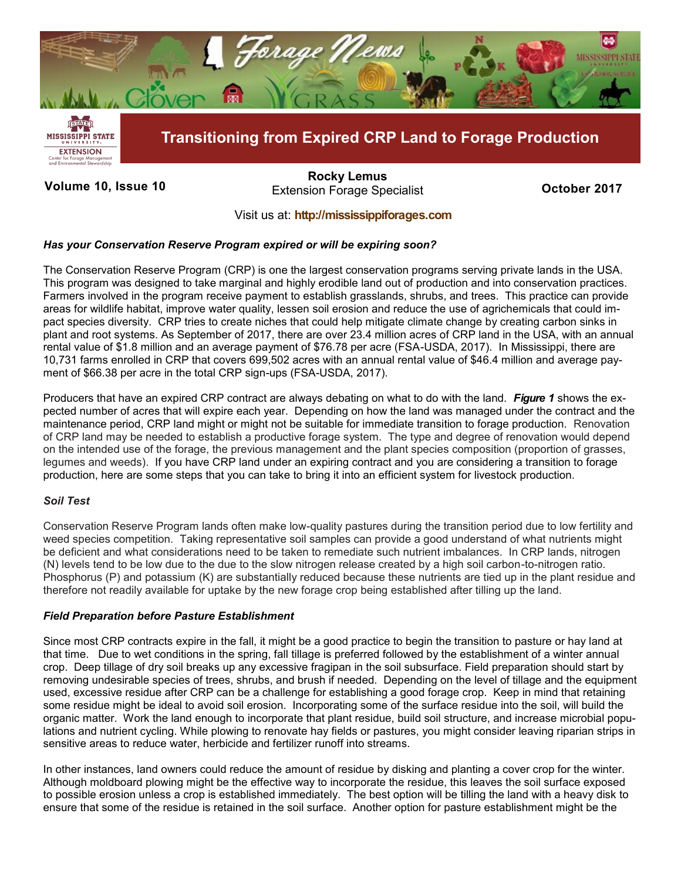

**Volume 10, Issue 10 October 2017** Extension Forage Specialist **[Rocky Lemus](mailto:RLemus@ext.msstate.edu?subject=Forage%20News:%20Janaury%202011)**

# Visit us at: **<http://mississippiforages.com>**

## *Has your Conservation Reserve Program expired or will be expiring soon?*

The Conservation Reserve Program (CRP) is one the largest conservation programs serving private lands in the USA. This program was designed to take marginal and highly erodible land out of production and into conservation practices. Farmers involved in the program receive payment to establish grasslands, shrubs, and trees. This practice can provide areas for wildlife habitat, improve water quality, lessen soil erosion and reduce the use of agrichemicals that could impact species diversity. CRP tries to create niches that could help mitigate climate change by creating carbon sinks in plant and root systems. As September of 2017, there are over 23.4 million acres of CRP land in the USA, with an annual rental value of \$1.8 million and an average payment of \$76.78 per acre (FSA-USDA, 2017). In Mississippi, there are 10,731 farms enrolled in CRP that covers 699,502 acres with an annual rental value of \$46.4 million and average payment of \$66.38 per acre in the total CRP sign-ups (FSA-USDA, 2017).

Producers that have an expired CRP contract are always debating on what to do with the land. *Figure 1* shows the expected number of acres that will expire each year. Depending on how the land was managed under the contract and the maintenance period, CRP land might or might not be suitable for immediate transition to forage production. Renovation of CRP land may be needed to establish a productive forage system. The type and degree of renovation would depend on the intended use of the forage, the previous management and the plant species composition (proportion of grasses, legumes and weeds). If you have CRP land under an expiring contract and you are considering a transition to forage production, here are some steps that you can take to bring it into an efficient system for livestock production.

## *Soil Test*

Conservation Reserve Program lands often make low-quality pastures during the transition period due to low fertility and weed species competition. Taking representative soil samples can provide a good understand of what nutrients might be deficient and what considerations need to be taken to remediate such nutrient imbalances. In CRP lands, nitrogen (N) levels tend to be low due to the due to the slow nitrogen release created by a high soil carbon-to-nitrogen ratio. Phosphorus (P) and potassium (K) are substantially reduced because these nutrients are tied up in the plant residue and therefore not readily available for uptake by the new forage crop being established after tilling up the land.

## *Field Preparation before Pasture Establishment*

Since most CRP contracts expire in the fall, it might be a good practice to begin the transition to pasture or hay land at that time. Due to wet conditions in the spring, fall tillage is preferred followed by the establishment of a winter annual crop. Deep tillage of dry soil breaks up any excessive fragipan in the soil subsurface. Field preparation should start by removing undesirable species of trees, shrubs, and brush if needed. Depending on the level of tillage and the equipment used, excessive residue after CRP can be a challenge for establishing a good forage crop. Keep in mind that retaining some residue might be ideal to avoid soil erosion. Incorporating some of the surface residue into the soil, will build the organic matter. Work the land enough to incorporate that plant residue, build soil structure, and increase microbial populations and nutrient cycling. While plowing to renovate hay fields or pastures, you might consider leaving riparian strips in sensitive areas to reduce water, herbicide and fertilizer runoff into streams.

In other instances, land owners could reduce the amount of residue by disking and planting a cover crop for the winter. Although moldboard plowing might be the effective way to incorporate the residue, this leaves the soil surface exposed to possible erosion unless a crop is established immediately. The best option will be tilling the land with a heavy disk to ensure that some of the residue is retained in the soil surface. Another option for pasture establishment might be the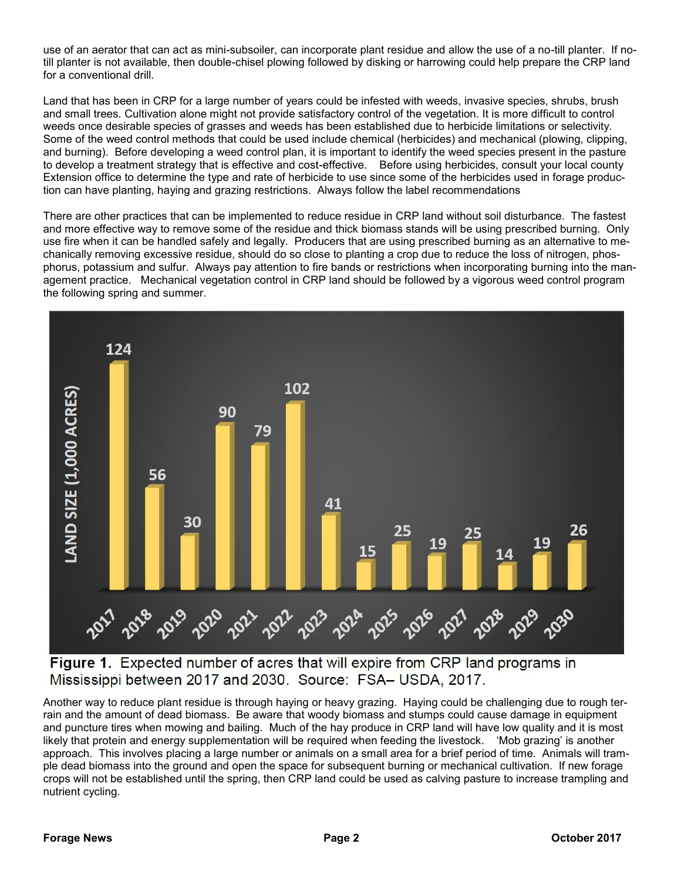use of an aerator that can act as mini-subsoiler, can incorporate plant residue and allow the use of a no-till planter. If notill planter is not available, then double-chisel plowing followed by disking or harrowing could help prepare the CRP land for a conventional drill.

Land that has been in CRP for a large number of years could be infested with weeds, invasive species, shrubs, brush and small trees. Cultivation alone might not provide satisfactory control of the vegetation. It is more difficult to control weeds once desirable species of grasses and weeds has been established due to herbicide limitations or selectivity. Some of the weed control methods that could be used include chemical (herbicides) and mechanical (plowing, clipping, and burning). Before developing a weed control plan, it is important to identify the weed species present in the pasture to develop a treatment strategy that is effective and cost-effective. Before using herbicides, consult your local county Extension office to determine the type and rate of herbicide to use since some of the herbicides used in forage production can have planting, haying and grazing restrictions. Always follow the label recommendations

There are other practices that can be implemented to reduce residue in CRP land without soil disturbance. The fastest and more effective way to remove some of the residue and thick biomass stands will be using prescribed burning. Only use fire when it can be handled safely and legally. Producers that are using prescribed burning as an alternative to mechanically removing excessive residue, should do so close to planting a crop due to reduce the loss of nitrogen, phosphorus, potassium and sulfur. Always pay attention to fire bands or restrictions when incorporating burning into the management practice. Mechanical vegetation control in CRP land should be followed by a vigorous weed control program the following spring and summer.



Figure 1. Expected number of acres that will expire from CRP land programs in Mississippi between 2017 and 2030. Source: FSA- USDA, 2017.

Another way to reduce plant residue is through haying or heavy grazing. Haying could be challenging due to rough terrain and the amount of dead biomass. Be aware that woody biomass and stumps could cause damage in equipment and puncture tires when mowing and bailing. Much of the hay produce in CRP land will have low quality and it is most likely that protein and energy supplementation will be required when feeding the livestock. 'Mob grazing' is another approach. This involves placing a large number or animals on a small area for a brief period of time. Animals will trample dead biomass into the ground and open the space for subsequent burning or mechanical cultivation. If new forage crops will not be established until the spring, then CRP land could be used as calving pasture to increase trampling and nutrient cycling.